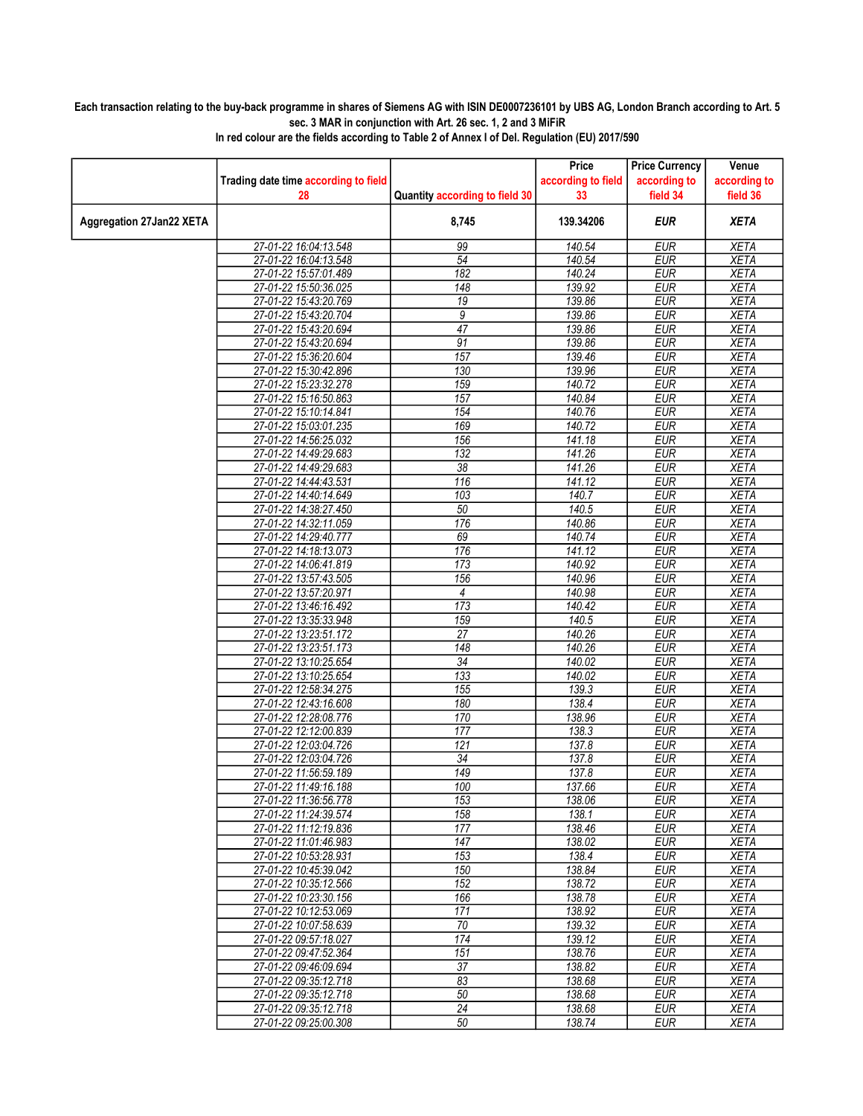## Each transaction relating to the buy-back programme in shares of Siemens AG with ISIN DE0007236101 by UBS AG, London Branch according to Art. 5 sec. 3 MAR in conjunction with Art. 26 sec. 1, 2 and 3 MiFiR

|                          |                                                |                                | Price               | <b>Price Currency</b>    | Venue                      |
|--------------------------|------------------------------------------------|--------------------------------|---------------------|--------------------------|----------------------------|
|                          | Trading date time according to field           |                                | according to field  | according to             | according to               |
|                          | 28                                             | Quantity according to field 30 | 33                  | field 34                 | field 36                   |
| Aggregation 27Jan22 XETA |                                                | 8,745                          | 139.34206           | <b>EUR</b>               | <b>XETA</b>                |
|                          | 27-01-22 16:04:13.548                          | 99                             | 140.54              | <b>EUR</b>               | <b>XETA</b>                |
|                          | 27-01-22 16:04:13.548                          | 54                             | 140.54              | <b>EUR</b>               | <b>XETA</b>                |
|                          | 27-01-22 15:57:01.489                          | 182                            | 140.24              | <b>EUR</b>               | <b>XETA</b>                |
|                          | 27-01-22 15:50:36.025                          | $\overline{148}$               | 139.92              | <b>EUR</b>               | <b>XETA</b>                |
|                          | 27-01-22 15:43:20.769                          | 19                             | 139.86              | <b>EUR</b>               | <b>XETA</b>                |
|                          | 27-01-22 15:43:20.704                          | 9                              | 139.86              | <b>EUR</b>               | <b>XETA</b>                |
|                          | 27-01-22 15:43:20.694                          | $\overline{47}$                | 139.86              | <b>EUR</b>               | <b>XETA</b>                |
|                          | 27-01-22 15:43:20.694                          | 91                             | 139.86              | <b>EUR</b>               | <b>XETA</b>                |
|                          | 27-01-22 15:36:20.604                          | 157                            | 139.46              | <b>EUR</b>               | <b>XETA</b>                |
|                          | 27-01-22 15:30:42.896                          | 130                            | 139.96              | <b>EUR</b>               | <b>XETA</b>                |
|                          | 27-01-22 15:23:32.278                          | 159                            | 140.72              | <b>EUR</b>               | <b>XETA</b>                |
|                          | 27-01-22 15:16:50.863                          | 157                            | 140.84              | <b>EUR</b>               | <b>XETA</b>                |
|                          | 27-01-22 15:10:14.841                          | 154                            | 140.76              | <b>EUR</b>               | <b>XETA</b>                |
|                          | 27-01-22 15:03:01.235                          | 169                            | 140.72              | <b>EUR</b>               | <b>XETA</b>                |
|                          | 27-01-22 14:56:25.032                          | 156                            | 141.18              | <b>EUR</b>               | <b>XETA</b>                |
|                          | 27-01-22 14:49:29.683                          | 132                            | 141.26              | <b>EUR</b>               | <b>XETA</b>                |
|                          | 27-01-22 14:49:29.683                          | $\overline{38}$                | 141.26              | <b>EUR</b>               | <b>XETA</b>                |
|                          | 27-01-22 14:44:43.531                          | 116                            | $\overline{141.12}$ | <b>EUR</b>               | <b>XETA</b>                |
|                          | 27-01-22 14:40:14.649                          | 103                            | 140.7               | <b>EUR</b>               | <b>XETA</b>                |
|                          | 27-01-22 14:38:27.450                          | 50                             | 140.5               | <b>EUR</b>               | <b>XETA</b>                |
|                          | 27-01-22 14:32:11.059                          | 176                            | 140.86              | <b>EUR</b>               | <b>XETA</b>                |
|                          | 27-01-22 14:29:40.777                          | 69                             | 140.74              | <b>EUR</b>               | <b>XETA</b>                |
|                          | 27-01-22 14:18:13.073                          | 176                            | 141.12              | <b>EUR</b>               | <b>XETA</b>                |
|                          | 27-01-22 14:06:41.819                          | 173                            | 140.92              | <b>EUR</b>               | <b>XETA</b>                |
|                          | 27-01-22 13:57:43.505                          | 156                            | 140.96              | <b>EUR</b>               | <b>XETA</b>                |
|                          | 27-01-22 13:57:20.971                          | $\overline{4}$                 | 140.98              | <b>EUR</b>               | <b>XETA</b>                |
|                          | 27-01-22 13:46:16.492                          | 173                            | 140.42              | <b>EUR</b>               | <b>XETA</b>                |
|                          | 27-01-22 13:35:33.948                          | 159                            | 140.5               | <b>EUR</b>               | <b>XETA</b>                |
|                          | 27-01-22 13:23:51.172                          | 27                             | 140.26              | <b>EUR</b>               | <b>XETA</b>                |
|                          | 27-01-22 13:23:51.173                          | 148<br>34                      | 140.26              | <b>EUR</b>               | <b>XETA</b>                |
|                          | 27-01-22 13:10:25.654<br>27-01-22 13:10:25.654 | 133                            | 140.02<br>140.02    | <b>EUR</b><br><b>EUR</b> | <b>XETA</b><br><b>XETA</b> |
|                          |                                                | 155                            | 139.3               | <b>EUR</b>               | <b>XETA</b>                |
|                          | 27-01-22 12:58:34.275<br>27-01-22 12:43:16.608 | 180                            | 138.4               | <b>EUR</b>               | <b>XETA</b>                |
|                          | 27-01-22 12:28:08.776                          | 170                            | 138.96              | <b>EUR</b>               | <b>XETA</b>                |
|                          | 27-01-22 12:12:00.839                          | 177                            | 138.3               | <b>EUR</b>               | <b>XETA</b>                |
|                          | 27-01-22 12:03:04.726                          | 121                            | 137.8               | <b>EUR</b>               | <b>XETA</b>                |
|                          | 27-01-22 12:03:04.726                          | 34                             | 137.8               | <b>EUR</b>               | <b>XETA</b>                |
|                          | 27-01-22 11:56:59.189                          | 149                            | 137.8               | <b>EUR</b>               | <b>XETA</b>                |
|                          | 27-01-22 11:49:16.188                          | 100                            | 137.66              | <b>FUR</b>               | <b>XETA</b>                |
|                          | 27-01-22 11:36:56.778                          | 153                            | 138.06              | <b>EUR</b>               | <b>XETA</b>                |
|                          | 27-01-22 11:24:39.574                          | 158                            | 138.1               | <b>EUR</b>               | XETA                       |
|                          | 27-01-22 11:12:19.836                          | 177                            | 138.46              | <b>EUR</b>               | XETA                       |
|                          | 27-01-22 11:01:46.983                          | 147                            | 138.02              | <b>EUR</b>               | <b>XETA</b>                |
|                          | 27-01-22 10:53:28.931                          | 153                            | 138.4               | <b>EUR</b>               | <b>XETA</b>                |
|                          | 27-01-22 10:45:39.042                          | 150                            | 138.84              | <b>EUR</b>               | <b>XETA</b>                |
|                          | 27-01-22 10:35:12.566                          | 152                            | 138.72              | <b>EUR</b>               | <b>XETA</b>                |
|                          | 27-01-22 10:23:30.156                          | 166                            | 138.78              | <b>EUR</b>               | <b>XETA</b>                |
|                          | 27-01-22 10:12:53.069                          | 171                            | 138.92              | <b>EUR</b>               | <b>XETA</b>                |
|                          | 27-01-22 10:07:58.639                          | $\overline{70}$                | 139.32              | <b>EUR</b>               | <b>XETA</b>                |
|                          | 27-01-22 09:57:18.027                          | 174                            | 139.12              | <b>EUR</b>               | <b>XETA</b>                |
|                          | 27-01-22 09:47:52.364                          | 151                            | 138.76              | <b>EUR</b>               | <b>XETA</b>                |
|                          | 27-01-22 09:46:09.694                          | $\overline{37}$                | 138.82              | <b>EUR</b>               | <b>XETA</b>                |
|                          | 27-01-22 09:35:12.718                          | 83                             | 138.68              | <b>EUR</b>               | XETA                       |
|                          | 27-01-22 09:35:12.718                          | 50                             | 138.68              | <b>EUR</b>               | <b>XETA</b>                |
|                          | 27-01-22 09:35:12.718                          | 24                             | 138.68              | <b>EUR</b>               | <b>XETA</b>                |
|                          | 27-01-22 09:25:00.308                          | 50                             | 138.74              | <b>EUR</b>               | XETA                       |
|                          |                                                |                                |                     |                          |                            |

In red colour are the fields according to Table 2 of Annex I of Del. Regulation (EU) 2017/590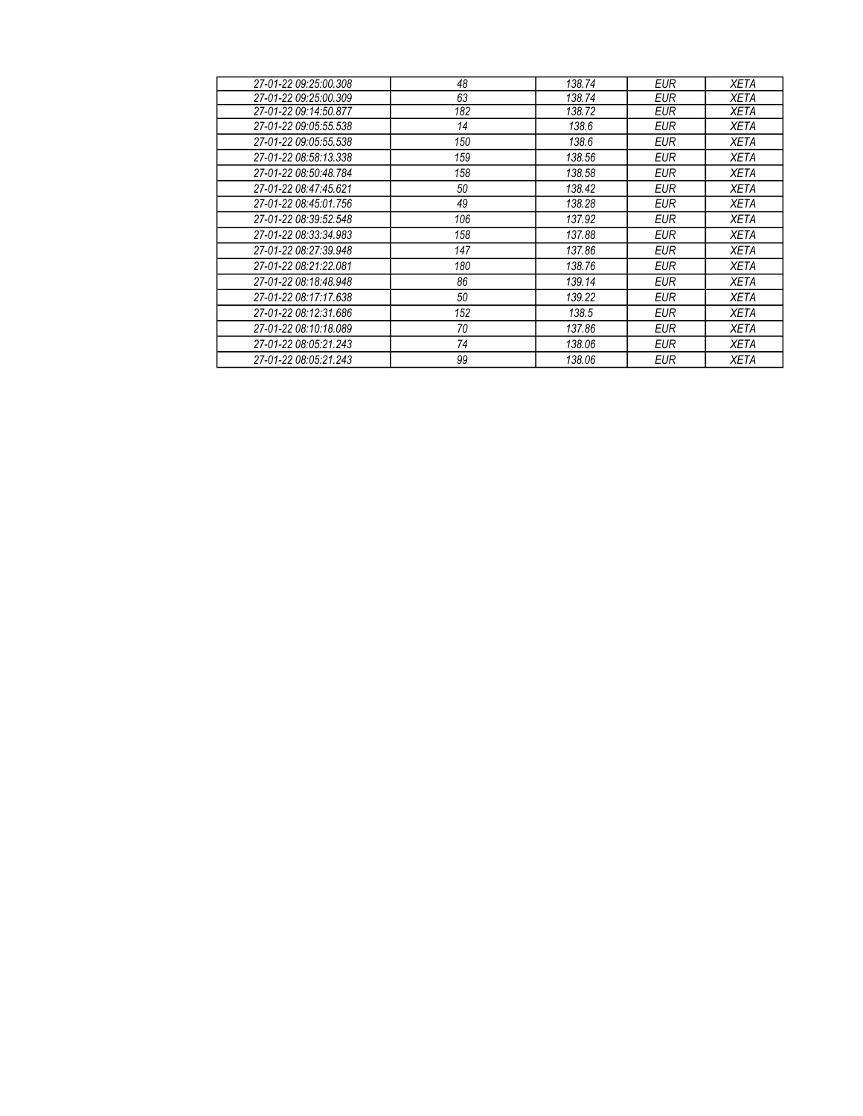| 27-01-22 09:25:00.308 | 48  | 138.74 | EUR        | <b>XETA</b> |
|-----------------------|-----|--------|------------|-------------|
| 27-01-22 09:25:00.309 | 63  | 138.74 | EUR        | <b>XETA</b> |
| 27-01-22 09:14:50.877 | 182 | 138.72 | EUR        | <b>XETA</b> |
| 27-01-22 09:05:55.538 | 14  | 138.6  | <b>EUR</b> | <b>XETA</b> |
| 27-01-22 09:05:55.538 | 150 | 138.6  | <b>EUR</b> | <b>XETA</b> |
| 27-01-22 08:58:13.338 | 159 | 138.56 | <b>EUR</b> | <b>XETA</b> |
| 27-01-22 08:50:48.784 | 158 | 138.58 | <b>EUR</b> | <b>XETA</b> |
| 27-01-22 08:47:45.621 | 50  | 138.42 | <b>EUR</b> | <b>XETA</b> |
| 27-01-22 08:45:01.756 | 49  | 138.28 | <b>EUR</b> | <b>XETA</b> |
| 27-01-22 08:39:52.548 | 106 | 137.92 | <b>EUR</b> | <b>XETA</b> |
| 27-01-22 08:33:34.983 | 158 | 137.88 | <b>EUR</b> | <b>XETA</b> |
| 27-01-22 08:27:39.948 | 147 | 137.86 | <b>EUR</b> | <b>XETA</b> |
| 27-01-22 08:21:22.081 | 180 | 138.76 | <b>EUR</b> | <b>XETA</b> |
| 27-01-22 08:18:48.948 | 86  | 139.14 | <b>EUR</b> | <b>XETA</b> |
| 27-01-22 08:17:17.638 | 50  | 139.22 | <b>EUR</b> | <b>XETA</b> |
| 27-01-22 08:12:31.686 | 152 | 138.5  | <b>EUR</b> | <b>XETA</b> |
| 27-01-22 08:10:18.089 | 70  | 137.86 | <b>EUR</b> | <b>XETA</b> |
| 27-01-22 08:05:21.243 | 74  | 138.06 | <b>EUR</b> | <b>XETA</b> |
| 27-01-22 08:05:21.243 | 99  | 138.06 | <b>EUR</b> | <b>XETA</b> |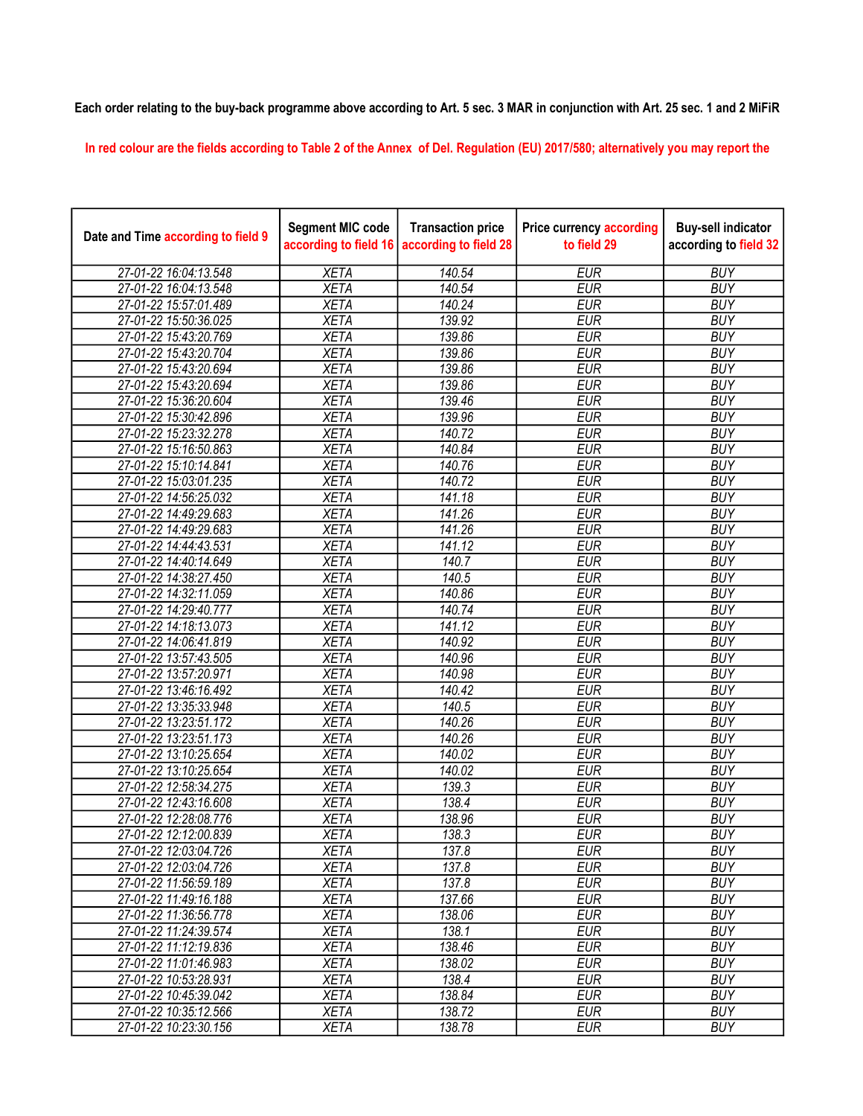## Each order relating to the buy-back programme above according to Art. 5 sec. 3 MAR in conjunction with Art. 25 sec. 1 and 2 MiFiR

In red colour are the fields according to Table 2 of the Annex of Del. Regulation (EU) 2017/580; alternatively you may report the

| Date and Time according to field 9 | <b>Segment MIC code</b><br>according to field 16 | <b>Transaction price</b><br>according to field 28 | <b>Price currency according</b><br>to field 29 | <b>Buy-sell indicator</b><br>according to field 32 |
|------------------------------------|--------------------------------------------------|---------------------------------------------------|------------------------------------------------|----------------------------------------------------|
| 27-01-22 16:04:13.548              | <b>XETA</b>                                      | 140.54                                            | <b>EUR</b>                                     | <b>BUY</b>                                         |
| 27-01-22 16:04:13.548              | <b>XETA</b>                                      | 140.54                                            | <b>EUR</b>                                     | <b>BUY</b>                                         |
| 27-01-22 15:57:01.489              | <b>XETA</b>                                      | 140.24                                            | <b>EUR</b>                                     | <b>BUY</b>                                         |
| 27-01-22 15:50:36.025              | <b>XETA</b>                                      | 139.92                                            | <b>EUR</b>                                     | <b>BUY</b>                                         |
| 27-01-22 15:43:20.769              | <b>XETA</b>                                      | 139.86                                            | <b>EUR</b>                                     | <b>BUY</b>                                         |
| 27-01-22 15:43:20.704              | <b>XETA</b>                                      | 139.86                                            | <b>EUR</b>                                     | <b>BUY</b>                                         |
| 27-01-22 15:43:20.694              | <b>XETA</b>                                      | 139.86                                            | <b>EUR</b>                                     | <b>BUY</b>                                         |
| 27-01-22 15:43:20.694              | <b>XETA</b>                                      | 139.86                                            | <b>EUR</b>                                     | <b>BUY</b>                                         |
| 27-01-22 15:36:20.604              | <b>XETA</b>                                      | 139.46                                            | <b>EUR</b>                                     | <b>BUY</b>                                         |
| 27-01-22 15:30:42.896              | <b>XETA</b>                                      | 139.96                                            | <b>EUR</b>                                     | <b>BUY</b>                                         |
| 27-01-22 15:23:32.278              | <b>XETA</b>                                      | 140.72                                            | <b>EUR</b>                                     | <b>BUY</b>                                         |
| 27-01-22 15:16:50.863              | <b>XETA</b>                                      | 140.84                                            | <b>EUR</b>                                     | <b>BUY</b>                                         |
| 27-01-22 15:10:14.841              | <b>XETA</b>                                      | 140.76                                            | <b>EUR</b>                                     | <b>BUY</b>                                         |
| 27-01-22 15:03:01.235              | <b>XETA</b>                                      | 140.72                                            | <b>EUR</b>                                     | <b>BUY</b>                                         |
| 27-01-22 14:56:25.032              | <b>XETA</b>                                      | 141.18                                            | <b>EUR</b>                                     | <b>BUY</b>                                         |
| 27-01-22 14:49:29.683              | <b>XETA</b>                                      | 141.26                                            | <b>EUR</b>                                     | <b>BUY</b>                                         |
| 27-01-22 14:49:29.683              | <b>XETA</b>                                      | 141.26                                            | <b>EUR</b>                                     | <b>BUY</b>                                         |
| 27-01-22 14:44:43.531              | <b>XETA</b>                                      | 141.12                                            | <b>EUR</b>                                     | <b>BUY</b>                                         |
| 27-01-22 14:40:14.649              | <b>XETA</b>                                      | 140.7                                             | <b>EUR</b>                                     | <b>BUY</b>                                         |
| 27-01-22 14:38:27.450              | <b>XETA</b>                                      | 140.5                                             | <b>EUR</b>                                     | <b>BUY</b>                                         |
| 27-01-22 14:32:11.059              | <b>XETA</b>                                      | 140.86                                            | <b>EUR</b>                                     | <b>BUY</b>                                         |
| 27-01-22 14:29:40.777              | <b>XETA</b>                                      | 140.74                                            | <b>EUR</b>                                     | <b>BUY</b>                                         |
| 27-01-22 14:18:13.073              | <b>XETA</b>                                      | 141.12                                            | <b>EUR</b>                                     | <b>BUY</b>                                         |
| 27-01-22 14:06:41.819              | <b>XETA</b>                                      | 140.92                                            | <b>EUR</b>                                     | <b>BUY</b>                                         |
| 27-01-22 13:57:43.505              | <b>XETA</b>                                      | 140.96                                            | <b>EUR</b>                                     | <b>BUY</b>                                         |
| 27-01-22 13:57:20.971              | <b>XETA</b>                                      | 140.98                                            | <b>EUR</b>                                     | <b>BUY</b>                                         |
| 27-01-22 13:46:16.492              | <b>XETA</b>                                      | 140.42                                            | <b>EUR</b>                                     | <b>BUY</b>                                         |
| 27-01-22 13:35:33.948              | <b>XETA</b>                                      | 140.5                                             | <b>EUR</b>                                     | <b>BUY</b>                                         |
| 27-01-22 13:23:51.172              | <b>XETA</b>                                      | 140.26                                            | <b>EUR</b>                                     | <b>BUY</b>                                         |
| 27-01-22 13:23:51.173              | <b>XETA</b>                                      | 140.26                                            | <b>EUR</b>                                     | <b>BUY</b>                                         |
| 27-01-22 13:10:25.654              | <b>XETA</b>                                      | 140.02                                            | <b>EUR</b>                                     | <b>BUY</b>                                         |
| 27-01-22 13:10:25.654              | <b>XETA</b>                                      | 140.02                                            | <b>EUR</b>                                     | <b>BUY</b>                                         |
| 27-01-22 12:58:34.275              | <b>XETA</b>                                      | 139.3                                             | <b>EUR</b>                                     | <b>BUY</b>                                         |
| 27-01-22 12:43:16.608              | <b>XETA</b>                                      | 138.4                                             | <b>EUR</b>                                     | <b>BUY</b>                                         |
| 27-01-22 12:28:08.776              | <b>XETA</b>                                      | 138.96                                            | <b>EUR</b>                                     | <b>BUY</b>                                         |
| 27-01-22 12:12:00.839              | <b>XETA</b>                                      | 138.3                                             | <b>EUR</b>                                     | <b>BUY</b>                                         |
| 27-01-22 12:03:04.726              | <b>XETA</b>                                      | 137.8                                             | <b>EUR</b>                                     | <b>BUY</b>                                         |
| 27-01-22 12:03:04.726              | <b>XETA</b>                                      | 137.8                                             | <b>EUR</b>                                     | <b>BUY</b>                                         |
| 27-01-22 11:56:59.189              | <b>XETA</b>                                      | 137.8                                             | <b>EUR</b>                                     | <b>BUY</b>                                         |
| 27-01-22 11:49:16.188              | <b>XETA</b>                                      | 137.66                                            | <b>EUR</b>                                     | <b>BUY</b>                                         |
| 27-01-22 11:36:56.778              | <b>XETA</b>                                      | 138.06                                            | <b>EUR</b>                                     | <b>BUY</b>                                         |
| 27-01-22 11:24:39.574              | <b>XETA</b>                                      | 138.1                                             | <b>EUR</b>                                     | <b>BUY</b>                                         |
| 27-01-22 11:12:19.836              | <b>XETA</b>                                      | 138.46                                            | <b>EUR</b>                                     | <b>BUY</b>                                         |
| 27-01-22 11:01:46.983              | <b>XETA</b>                                      | 138.02                                            | <b>EUR</b>                                     | <b>BUY</b>                                         |
| 27-01-22 10:53:28.931              | <b>XETA</b>                                      | 138.4                                             | <b>EUR</b>                                     | <b>BUY</b>                                         |
| 27-01-22 10:45:39.042              | <b>XETA</b>                                      | 138.84                                            | <b>EUR</b>                                     | <b>BUY</b>                                         |
| 27-01-22 10:35:12.566              | <b>XETA</b>                                      | 138.72                                            | <b>EUR</b>                                     | <b>BUY</b>                                         |
| 27-01-22 10:23:30.156              | <b>XETA</b>                                      | 138.78                                            | <b>EUR</b>                                     | <b>BUY</b>                                         |